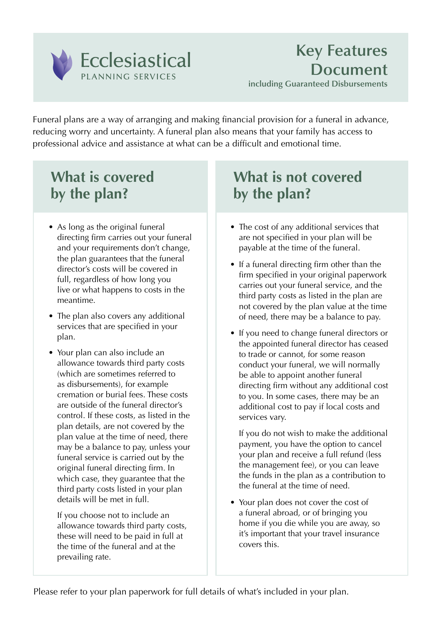

Funeral plans are a way of arranging and making financial provision for a funeral in advance, reducing worry and uncertainty. A funeral plan also means that your family has access to professional advice and assistance at what can be a difficult and emotional time.

# **What is covered by the plan?**

- As long as the original funeral directing firm carries out your funeral and your requirements don't change, the plan guarantees that the funeral director's costs will be covered in full, regardless of how long you live or what happens to costs in the meantime.
- The plan also covers any additional services that are specified in your plan.
- Your plan can also include an allowance towards third party costs (which are sometimes referred to as disbursements), for example cremation or burial fees. These costs are outside of the funeral director's control. If these costs, as listed in the plan details, are not covered by the plan value at the time of need, there may be a balance to pay, unless your funeral service is carried out by the original funeral directing firm. In which case, they guarantee that the third party costs listed in your plan details will be met in full.

 If you choose not to include an allowance towards third party costs, these will need to be paid in full at the time of the funeral and at the prevailing rate.

# **What is not covered by the plan?**

- The cost of any additional services that are not specified in your plan will be payable at the time of the funeral.
- If a funeral directing firm other than the firm specified in your original paperwork carries out your funeral service, and the third party costs as listed in the plan are not covered by the plan value at the time of need, there may be a balance to pay.
- If you need to change funeral directors or the appointed funeral director has ceased to trade or cannot, for some reason conduct your funeral, we will normally be able to appoint another funeral directing firm without any additional cost to you. In some cases, there may be an additional cost to pay if local costs and services vary.

 If you do not wish to make the additional payment, you have the option to cancel your plan and receive a full refund (less the management fee), or you can leave the funds in the plan as a contribution to the funeral at the time of need.

• Your plan does not cover the cost of a funeral abroad, or of bringing you home if you die while you are away, so it's important that your travel insurance covers this.

Please refer to your plan paperwork for full details of what's included in your plan.